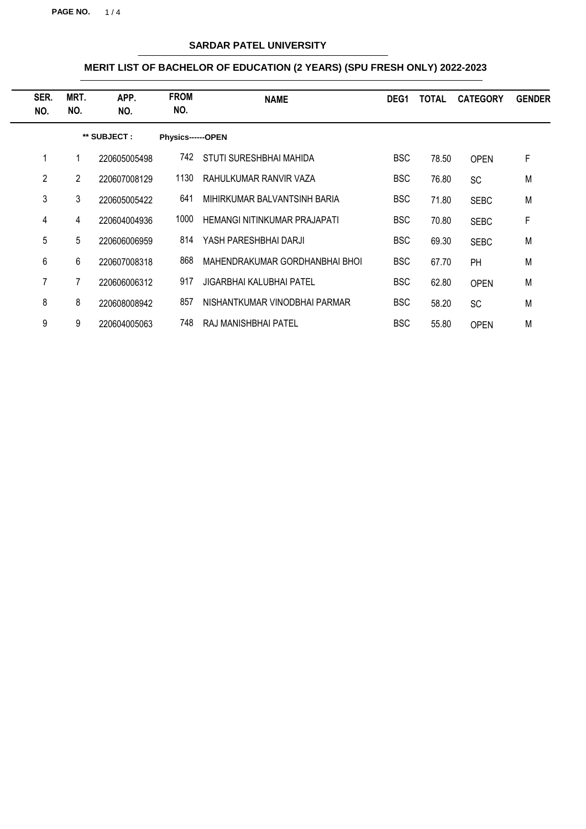**PAGE NO.** 1 / 4

## **SARDAR PATEL UNIVERSITY**

| SER.<br>NO. | MRT.<br>NO. | APP.<br>NO.  | <b>FROM</b><br>NO. | <b>NAME</b>                    | DEG1       | <b>TOTAL</b> | <b>CATEGORY</b> | <b>GENDER</b> |
|-------------|-------------|--------------|--------------------|--------------------------------|------------|--------------|-----------------|---------------|
|             |             | ** SUBJECT : | Physics------OPEN  |                                |            |              |                 |               |
| 1           | 1           | 220605005498 | 742.               | STUTI SURESHBHAI MAHIDA        | <b>BSC</b> | 78.50        | <b>OPEN</b>     | F             |
| 2           | 2           | 220607008129 | 1130               | RAHULKUMAR RANVIR VAZA         | <b>BSC</b> | 76.80        | <b>SC</b>       | M             |
| 3           | 3           | 220605005422 | 641                | MIHIRKUMAR BALVANTSINH BARIA   | <b>BSC</b> | 71.80        | <b>SEBC</b>     | M             |
| 4           | 4           | 220604004936 | 1000               | HEMANGI NITINKUMAR PRAJAPATI   | <b>BSC</b> | 70.80        | <b>SEBC</b>     | F             |
| 5           | 5           | 220606006959 | 814                | YASH PARESHBHAI DARJI          | <b>BSC</b> | 69.30        | <b>SEBC</b>     | M             |
| 6           | 6           | 220607008318 | 868                | MAHENDRAKUMAR GORDHANBHAI BHOI | <b>BSC</b> | 67.70        | PH              | M             |
| 7           |             | 220606006312 | 917                | JIGARBHAI KALUBHAI PATEL       | <b>BSC</b> | 62.80        | <b>OPEN</b>     | M             |
| 8           | 8           | 220608008942 | 857                | NISHANTKUMAR VINODBHAI PARMAR  | <b>BSC</b> | 58.20        | <b>SC</b>       | M             |
| 9           | 9           | 220604005063 | 748                | RAJ MANISHBHAI PATEL           | <b>BSC</b> | 55.80        | <b>OPEN</b>     | M             |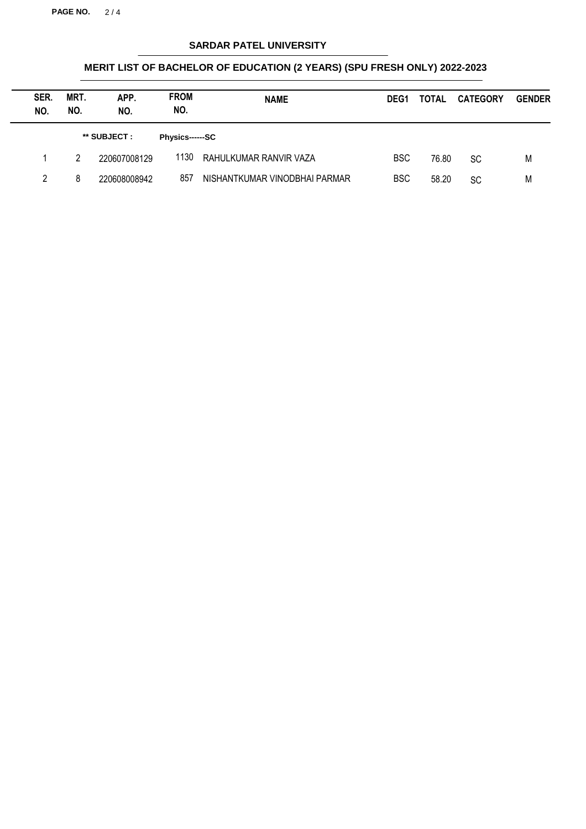**PAGE NO.** 2 / 4

## **SARDAR PATEL UNIVERSITY**

| SER.<br>NO. | MRT.<br>NO. | APP.<br>NO.  | <b>FROM</b><br>NO.     | <b>NAME</b>                   | DEG <sub>1</sub> | <b>TOTAL</b> | <b>CATEGORY</b> | <b>GENDER</b> |
|-------------|-------------|--------------|------------------------|-------------------------------|------------------|--------------|-----------------|---------------|
|             |             | ** SUBJECT : | <b>Physics------SC</b> |                               |                  |              |                 |               |
|             | 2           | 220607008129 | 1130                   | RAHULKUMAR RANVIR VAZA        | <b>BSC</b>       | 76.80        | <b>SC</b>       | M             |
| 2           | 8           | 220608008942 | 857                    | NISHANTKUMAR VINODBHAI PARMAR | <b>BSC</b>       | 58.20        | <b>SC</b>       | M             |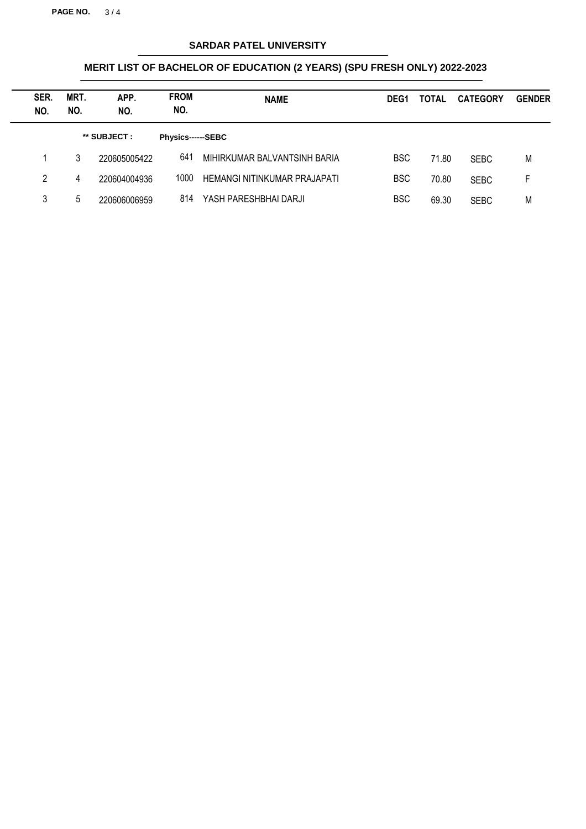**PAGE NO.** 3 / 4

## **SARDAR PATEL UNIVERSITY**

| SER.<br>NO. | MRT.<br>NO. | APP.<br>NO.  | <b>FROM</b><br>NO. | <b>NAME</b>                  | DEG <sub>1</sub> | <b>TOTAL</b> | <b>CATEGORY</b> | <b>GENDER</b> |
|-------------|-------------|--------------|--------------------|------------------------------|------------------|--------------|-----------------|---------------|
|             |             | ** SUBJECT : | Physics------SEBC  |                              |                  |              |                 |               |
|             | 3           | 220605005422 | 641                | MIHIRKUMAR BALVANTSINH BARIA | <b>BSC</b>       | 71.80        | <b>SEBC</b>     | M             |
| 2           | 4           | 220604004936 | 1000               | HEMANGI NITINKUMAR PRAJAPATI | <b>BSC</b>       | 70.80        | <b>SEBC</b>     | F             |
| 3           | 5           | 220606006959 | 814                | YASH PARESHBHAI DARJI        | <b>BSC</b>       | 69.30        | <b>SEBC</b>     | M             |